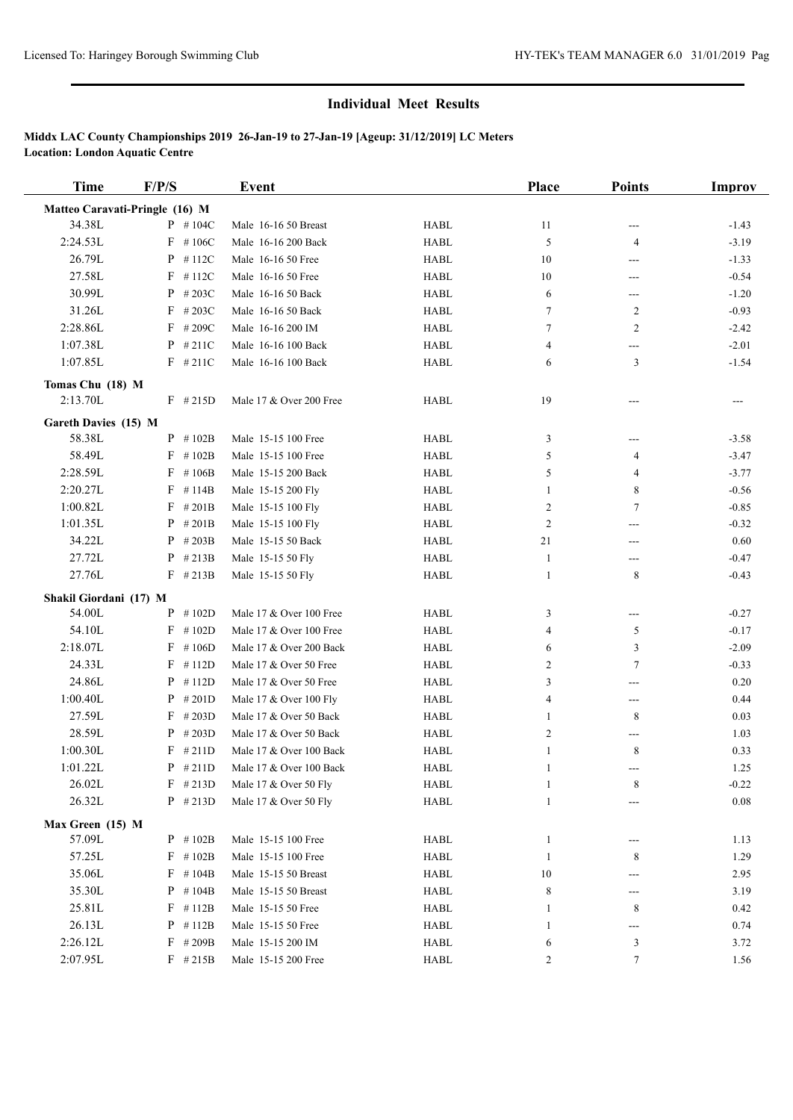## **Individual Meet Results**

# **Middx LAC County Championships 2019 26-Jan-19 to 27-Jan-19 [Ageup: 31/12/2019] LC Meters Location: London Aquatic Centre**

| Time                           | F/P/S         | Event                   |             | <b>Place</b> | <b>Points</b>              | <b>Improv</b> |  |  |  |
|--------------------------------|---------------|-------------------------|-------------|--------------|----------------------------|---------------|--|--|--|
| Matteo Caravati-Pringle (16) M |               |                         |             |              |                            |               |  |  |  |
| 34.38L                         | $P$ #104C     | Male 16-16 50 Breast    | <b>HABL</b> | 11           |                            | $-1.43$       |  |  |  |
| 2:24.53L                       | $F$ #106C     | Male 16-16 200 Back     | <b>HABL</b> | 5            | 4                          | $-3.19$       |  |  |  |
| 26.79L                         | P<br>#112C    | Male 16-16 50 Free      | <b>HABL</b> | 10           | ---                        | $-1.33$       |  |  |  |
| 27.58L                         | F<br>#112C    | Male 16-16 50 Free      | <b>HABL</b> | 10           | $---$                      | $-0.54$       |  |  |  |
| 30.99L                         | #203C<br>P    | Male 16-16 50 Back      | <b>HABL</b> | 6            | $\qquad \qquad \text{---}$ | $-1.20$       |  |  |  |
| 31.26L                         | F<br>#203C    | Male 16-16 50 Back      | <b>HABL</b> | 7            | $\overline{c}$             | $-0.93$       |  |  |  |
| 2:28.86L                       | $F$ #209C     | Male 16-16 200 IM       | <b>HABL</b> | 7            | $\overline{c}$             | $-2.42$       |  |  |  |
| 1:07.38L                       | P<br>#211C    | Male 16-16 100 Back     | <b>HABL</b> | 4            | ---                        | $-2.01$       |  |  |  |
| 1:07.85L                       | $F$ #211C     | Male 16-16 100 Back     | <b>HABL</b> | 6            | 3                          | $-1.54$       |  |  |  |
| Tomas Chu (18) M               |               |                         |             |              |                            |               |  |  |  |
| 2:13.70L                       | $F$ #215D     | Male 17 & Over 200 Free | <b>HABL</b> | 19           |                            | ---           |  |  |  |
| Gareth Davies (15) M           |               |                         |             |              |                            |               |  |  |  |
| 58.38L                         | $P$ # 102B    | Male 15-15 100 Free     | <b>HABL</b> | 3            | ---                        | $-3.58$       |  |  |  |
| 58.49L                         | $F$ #102B     | Male 15-15 100 Free     | <b>HABL</b> | 5            | 4                          | $-3.47$       |  |  |  |
| 2:28.59L                       | F<br>#106B    | Male 15-15 200 Back     | <b>HABL</b> | 5            | 4                          | $-3.77$       |  |  |  |
| 2:20.27L                       | F<br># 114B   | Male 15-15 200 Fly      | <b>HABL</b> | 1            | 8                          | $-0.56$       |  |  |  |
| 1:00.82L                       | F<br>#201B    | Male 15-15 100 Fly      | <b>HABL</b> | 2            | 7                          | $-0.85$       |  |  |  |
| 1:01.35L                       | P<br># $201B$ | Male 15-15 100 Fly      | <b>HABL</b> | 2            | ---                        | $-0.32$       |  |  |  |
| 34.22L                         | P<br># $203B$ | Male 15-15 50 Back      | <b>HABL</b> | 21           | ---                        | 0.60          |  |  |  |
| 27.72L                         | P<br>#213B    | Male 15-15 50 Fly       | <b>HABL</b> | $\mathbf{1}$ | ---                        | $-0.47$       |  |  |  |
| 27.76L                         | $F$ #213B     | Male 15-15 50 Fly       | <b>HABL</b> | 1            | 8                          | $-0.43$       |  |  |  |
| Shakil Giordani (17) M         |               |                         |             |              |                            |               |  |  |  |
| 54.00L                         | #102D<br>P    | Male 17 & Over 100 Free | <b>HABL</b> | 3            | $---$                      | $-0.27$       |  |  |  |
| 54.10L                         | F<br>#102D    | Male 17 & Over 100 Free | <b>HABL</b> | 4            | 5                          | $-0.17$       |  |  |  |
| 2:18.07L                       | #106D<br>F    | Male 17 & Over 200 Back | <b>HABL</b> | 6            | 3                          | $-2.09$       |  |  |  |
| 24.33L                         | F<br>#112D    | Male 17 & Over 50 Free  | <b>HABL</b> | 2            | 7                          | $-0.33$       |  |  |  |
| 24.86L                         | P<br>#112D    | Male 17 & Over 50 Free  | <b>HABL</b> | 3            | ---                        | 0.20          |  |  |  |
| 1:00.40L                       | P<br>#201D    | Male 17 & Over 100 Fly  | <b>HABL</b> | 4            | $\qquad \qquad \text{---}$ | 0.44          |  |  |  |
| 27.59L                         | F<br>#203D    | Male 17 & Over 50 Back  | <b>HABL</b> | 1            | 8                          | 0.03          |  |  |  |
| 28.59L                         | P<br>#203D    | Male 17 & Over 50 Back  | <b>HABL</b> | 2            | $---$                      | 1.03          |  |  |  |
| 1:00.30L                       | F<br>#211D    | Male 17 & Over 100 Back | <b>HABL</b> | 1            | 8                          | 0.33          |  |  |  |
| 1:01.22L                       | $P$ #211D     | Male 17 & Over 100 Back | <b>HABL</b> | 1            | $---$                      | 1.25          |  |  |  |
| 26.02L                         | $F$ #213D     | Male 17 & Over 50 Fly   | <b>HABL</b> | $\mathbf{1}$ | 8                          | $-0.22$       |  |  |  |
| 26.32L                         | $P$ #213D     | Male 17 & Over 50 Fly   | HABL        | 1            |                            | 0.08          |  |  |  |
| Max Green (15) M               |               |                         |             |              |                            |               |  |  |  |
| 57.09L                         | $P$ # 102B    | Male 15-15 100 Free     | <b>HABL</b> | 1            | ---                        | 1.13          |  |  |  |
| 57.25L                         | #102B<br>F    | Male 15-15 100 Free     | <b>HABL</b> | 1            | 8                          | 1.29          |  |  |  |
| 35.06L                         | F<br>#104B    | Male 15-15 50 Breast    | <b>HABL</b> | 10           | ---                        | 2.95          |  |  |  |
| 35.30L                         | $P$ # 104B    | Male 15-15 50 Breast    | HABL        | 8            | ---                        | 3.19          |  |  |  |
| 25.81L                         | F<br>#112B    | Male 15-15 50 Free      | HABL        | -1           | 8                          | 0.42          |  |  |  |
| 26.13L                         | P<br>#112B    | Male 15-15 50 Free      | HABL        | 1            | ---                        | 0.74          |  |  |  |
| 2:26.12L                       | $F$ #209B     | Male 15-15 200 IM       | HABL        | 6            | 3                          | 3.72          |  |  |  |
| 2:07.95L                       | $F$ #215B     | Male 15-15 200 Free     | <b>HABL</b> | 2            | 7                          | 1.56          |  |  |  |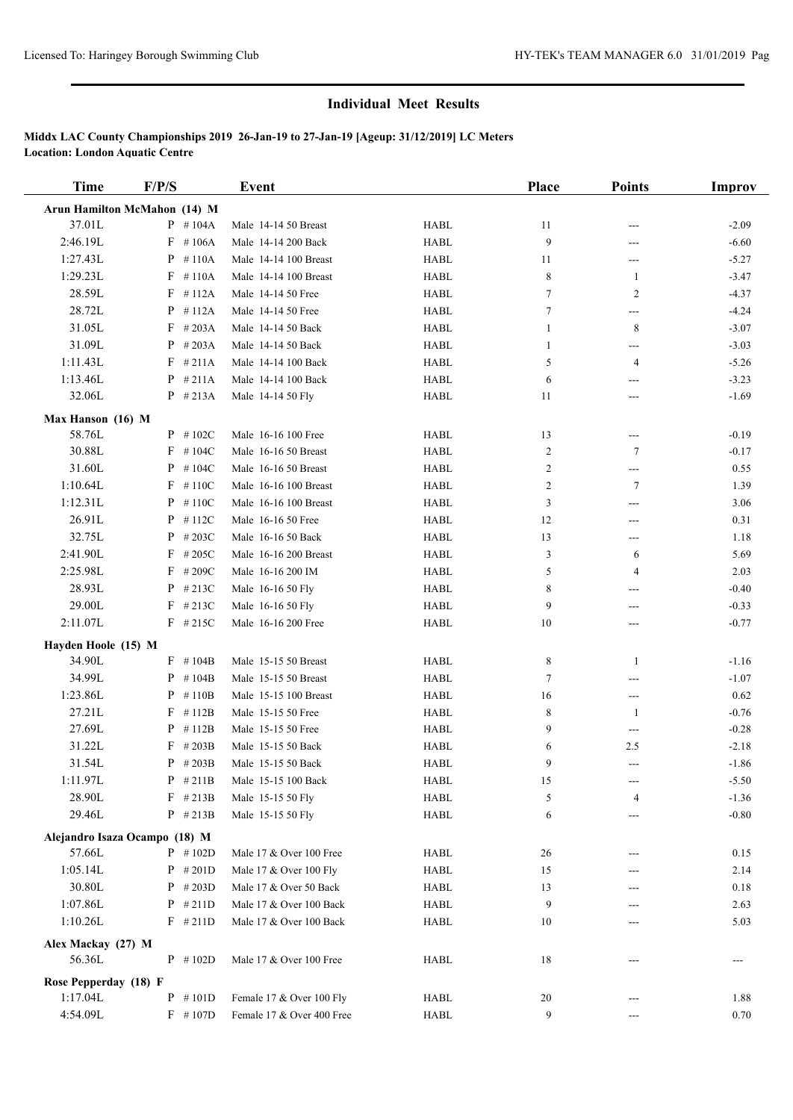## **Individual Meet Results**

# **Middx LAC County Championships 2019 26-Jan-19 to 27-Jan-19 [Ageup: 31/12/2019] LC Meters Location: London Aquatic Centre**

| <b>Time</b>                 | F/P/S                         | <b>Event</b>              |             | Place          | <b>Points</b>              | <b>Improv</b>   |
|-----------------------------|-------------------------------|---------------------------|-------------|----------------|----------------------------|-----------------|
|                             | Arun Hamilton McMahon (14) M  |                           |             |                |                            |                 |
| 37.01L                      | $P$ #104A                     | Male 14-14 50 Breast      | <b>HABL</b> | 11             |                            | $-2.09$         |
| 2:46.19L                    | $F$ #106A                     | Male 14-14 200 Back       | <b>HABL</b> | 9              | ---                        | $-6.60$         |
| 1:27.43L                    | $P$ #110A                     | Male 14-14 100 Breast     | <b>HABL</b> | 11             | ---                        | $-5.27$         |
| 1:29.23L                    | $F$ #110A                     | Male 14-14 100 Breast     | <b>HABL</b> | 8              | $\mathbf{1}$               | $-3.47$         |
| 28.59L                      | $F$ #112A                     | Male 14-14 50 Free        | <b>HABL</b> | 7              | 2                          | $-4.37$         |
| 28.72L                      | $P$ #112A                     | Male 14-14 50 Free        | <b>HABL</b> | 7              | ---                        | $-4.24$         |
| 31.05L                      | $F$ #203A                     | Male 14-14 50 Back        | <b>HABL</b> | 1              | 8                          | $-3.07$         |
| 31.09L                      | $P$ #203A                     | Male 14-14 50 Back        | <b>HABL</b> | 1              | ---                        | $-3.03$         |
| 1:11.43L                    | $F$ #211A                     | Male 14-14 100 Back       | <b>HABL</b> | 5              | 4                          | $-5.26$         |
| 1:13.46L                    | $P$ #211A                     | Male 14-14 100 Back       | <b>HABL</b> | 6              | $---$                      | $-3.23$         |
| 32.06L                      | $P$ #213A                     | Male 14-14 50 Fly         | <b>HABL</b> | 11             | ---                        | $-1.69$         |
|                             |                               |                           |             |                |                            |                 |
| Max Hanson (16) M<br>58.76L | $P$ #102C                     | Male 16-16 100 Free       | <b>HABL</b> | 13             | ---                        | $-0.19$         |
| 30.88L                      | $F$ #104C                     | Male 16-16 50 Breast      | <b>HABL</b> | $\overline{c}$ | $\tau$                     | $-0.17$         |
| 31.60L                      | $P$ #104C                     | Male 16-16 50 Breast      | <b>HABL</b> | 2              | ---                        | 0.55            |
| 1:10.64L                    | $F$ #110C                     | Male 16-16 100 Breast     | <b>HABL</b> | 2              | $\tau$                     | 1.39            |
| 1:12.31L                    | $P$ #110C                     | Male 16-16 100 Breast     | <b>HABL</b> | 3              | ---                        | 3.06            |
| 26.91L                      | $P$ # 112C                    | Male 16-16 50 Free        | <b>HABL</b> | 12             |                            | 0.31            |
| 32.75L                      | $P$ # 203C                    | Male 16-16 50 Back        | <b>HABL</b> | 13             | ---                        | 1.18            |
| 2:41.90L                    | $F$ #205C                     | Male 16-16 200 Breast     | <b>HABL</b> | 3              | ---<br>6                   | 5.69            |
| 2:25.98L                    | $F$ #209C                     | Male 16-16 200 IM         | <b>HABL</b> | 5              | 4                          |                 |
| 28.93L                      | $P$ #213C                     |                           |             |                |                            | 2.03<br>$-0.40$ |
| 29.00L                      |                               | Male 16-16 50 Fly         | <b>HABL</b> | 8              | ---                        |                 |
| 2:11.07L                    | $F$ #213C                     | Male 16-16 50 Fly         | <b>HABL</b> | 9              | ---                        | $-0.33$         |
|                             | $F$ #215C                     | Male 16-16 200 Free       | <b>HABL</b> | 10             | ---                        | $-0.77$         |
| Hayden Hoole (15) M         |                               |                           |             |                |                            |                 |
| 34.90L                      | $F$ #104B                     | Male 15-15 50 Breast      | <b>HABL</b> | 8              | 1                          | $-1.16$         |
| 34.99L                      | $P$ #104B                     | Male 15-15 50 Breast      | <b>HABL</b> | 7              | $---$                      | $-1.07$         |
| 1:23.86L                    | $P$ #110B                     | Male 15-15 100 Breast     | <b>HABL</b> | 16             | $\qquad \qquad \text{---}$ | 0.62            |
| 27.21L                      | $F$ #112B                     | Male 15-15 50 Free        | <b>HABL</b> | 8              | 1                          | $-0.76$         |
| 27.69L                      | $P$ # 112B                    | Male 15-15 50 Free        | <b>HABL</b> | 9              | ---                        | $-0.28$         |
| 31.22L                      | $F$ # 203B                    | Male 15-15 50 Back        | <b>HABL</b> | 6              | 2.5                        | $-2.18$         |
| 31.54L                      | $P$ # 203B                    | Male 15-15 50 Back        | <b>HABL</b> | 9              | $---$                      | $-1.86$         |
| 1:11.97L                    | $P$ #211B                     | Male 15-15 100 Back       | HABL        | 15             | ---                        | $-5.50$         |
| 28.90L                      | $F$ #213B                     | Male 15-15 50 Fly         | <b>HABL</b> | 5              | 4                          | $-1.36$         |
| 29.46L                      | $P$ # 213B                    | Male 15-15 50 Fly         | <b>HABL</b> | 6              |                            | $-0.80$         |
|                             | Alejandro Isaza Ocampo (18) M |                           |             |                |                            |                 |
| 57.66L                      | $P$ #102D                     | Male 17 & Over 100 Free   | <b>HABL</b> | 26             | ---                        | 0.15            |
| 1:05.14L                    | $P$ # 201D                    | Male 17 & Over 100 Fly    | <b>HABL</b> | 15             | ---                        | 2.14            |
| 30.80L                      | $P$ # 203D                    | Male 17 & Over 50 Back    | <b>HABL</b> | 13             |                            | 0.18            |
| 1:07.86L                    | $P$ # 211D                    | Male 17 & Over 100 Back   | <b>HABL</b> | 9              | ---                        | 2.63            |
| 1:10.26L                    | $F$ #211D                     | Male 17 & Over 100 Back   | <b>HABL</b> | 10             | ---                        | 5.03            |
| Alex Mackay (27) M          |                               |                           |             |                |                            |                 |
| 56.36L                      | $P$ #102D                     | Male 17 & Over 100 Free   | HABL        | 18             |                            | ---             |
| Rose Pepperday (18) F       |                               |                           |             |                |                            |                 |
| 1:17.04L                    | $P$ #101D                     | Female 17 & Over 100 Fly  | <b>HABL</b> | 20             | ---                        | 1.88            |
| 4:54.09L                    | $F$ #107D                     | Female 17 & Over 400 Free | HABL        | 9              | ---                        | 0.70            |
|                             |                               |                           |             |                |                            |                 |